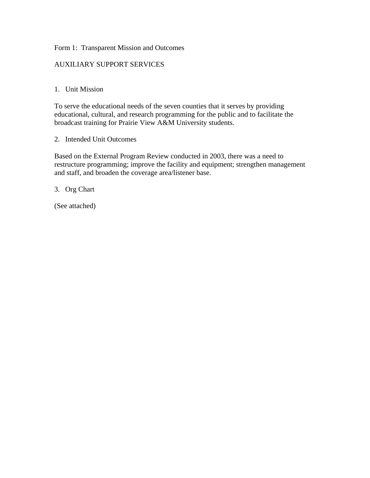#### Form 1: Transparent Mission and Outcomes

#### AUXILIARY SUPPORT SERVICES

#### 1. Unit Mission

To serve the educational needs of the seven counties that it serves by providing educational, cultural, and research programming for the public and to facilitate the broadcast training for Prairie View A&M University students.

2. Intended Unit Outcomes

Based on the External Program Review conducted in 2003, there was a need to restructure programming; improve the facility and equipment; strengthen management and staff, and broaden the coverage area/listener base.

3. Org Chart

(See attached)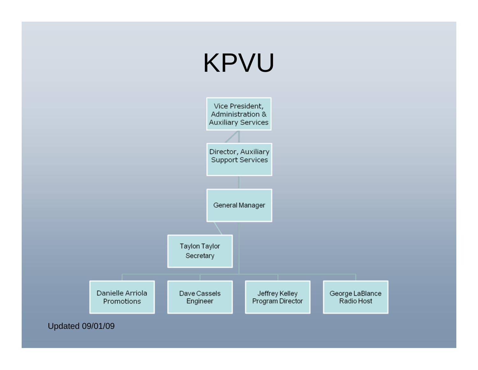

Updated 09/01/09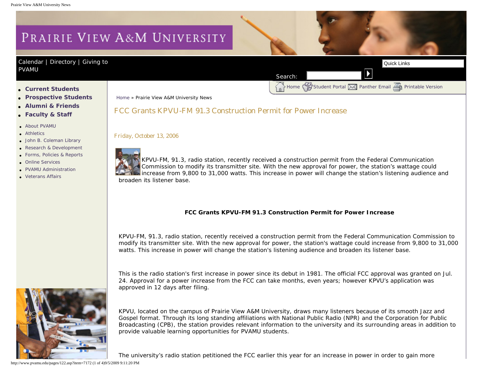# PRAIRIE VIEW A&M UNIVERSITY

#### [Calendar](http://www.pvamu.edu/pages/105.asp) | [Directory](http://www.pvamu.edu/pages/225.asp) | Giving to [PVAMU](http://www.pvamu.edu/giving)

 $H_{\mathbb{R}}$  Home  $\bigotimes$ [Student Portal](http://panthertracks.pvamu.edu/)  $\bigotimes$  [Panther Email](http://www.pvamu.edu/pages/1740.asp)  $\bigotimes$  [Printable Version](http://www.pvamu.edu/print/122.asp)

- ● **[Current Students](http://www.pvamu.edu/pages/106.asp)**
- ● **[Prospective Students](http://www.pvamu.edu/pages/113.asp)**
- ● **[Alumni & Friends](http://www.pvamu.edu/pages/103.asp)**
- ● **[Faculty & Staff](http://www.pvamu.edu/pages/107.asp)**
- [About PVAMU](http://www.pvamu.edu/pages/119.asp)
- **[Athletics](http://www.pvamu.edu/pages/104.asp)**
- [John B. Coleman Library](http://www.pvamu.edu/pages/3585.asp)
- [Research & Development](http://www.pvamu.edu/pages/108.asp)
- [Forms, Policies & Reports](http://www.pvamu.edu/pages/5302.asp)
- [Online Services](http://www.pvamu.edu/pages/109.asp)
- [PVAMU Administration](http://www.pvamu.edu/pages/5303.asp)
- [Veterans Affairs](http://www.pvamu.edu/pages/4721.asp)

[Home](http://www.pvamu.edu/pages/1.asp) » Prairie View A&M University News

#### FCC Grants KPVU-FM 91.3 Construction Permit for Power Increase

Friday, October 13, 2006



KPVU-FM, 91.3, radio station, recently received a construction permit from the Federal Communication Commission to modify its transmitter site. With the new approval for power, the station's wattage could increase from 9,800 to 31,000 watts. This increase in power will change the station's listening audience and broaden its listener base. Correst Students<br>
A constrained Reflexion Correst Construction Permit for Power Increase<br>
A color at the students<br>
A color at the students<br>
A color at the students<br>
A color at the students<br>
A color at the students<br>
A color

Search:

#### **FCC Grants KPVU-FM 91.3 Construction Permit for Power Increase**

KPVU-FM, 91.3, radio station, recently received a construction permit from the Federal Communication Commission to modify its transmitter site. With the new approval for power, the station's wattage could increase from 9,800 to 31,000 watts. This increase in power will change the station's listening audience and broaden its listener base.

This is the radio station's first increase in power since its debut in 1981. The official FCC approval was granted on Jul. 24. Approval for a power increase from the FCC can take months, even years; however KPVU's application was approved in 12 days after filing.



KPVU, located on the campus of Prairie View A&M University, draws many listeners because of its smooth Jazz and Gospel format. Through its long standing affiliations with National Public Radio (NPR) and the Corporation for Public Broadcasting (CPB), the station provides relevant information to the university and its surrounding areas in addition to provide valuable learning opportunities for PVAMU students.

The university's radio station petitioned the FCC earlier this year for an increase in power in order to gain more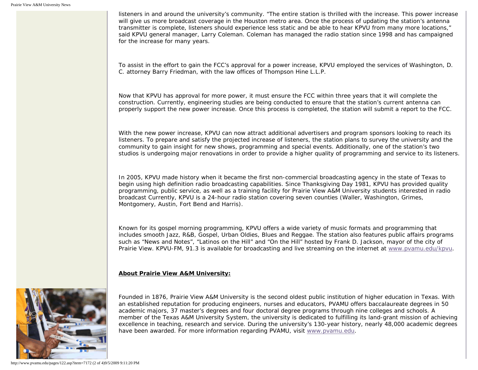listeners in and around the university's community. "The entire station is thrilled with the increase. This power increase will give us more broadcast coverage in the Houston metro area. Once the process of updating the station's antenna transmitter is complete, listeners should experience less static and be able to hear KPVU from many more locations," said KPVU general manager, Larry Coleman. Coleman has managed the radio station since 1998 and has campaigned for the increase for many years.

To assist in the effort to gain the FCC's approval for a power increase, KPVU employed the services of Washington, D. C. attorney Barry Friedman, with the law offices of Thompson Hine L.L.P.

Now that KPVU has approval for more power, it must ensure the FCC within three years that it will complete the construction. Currently, engineering studies are being conducted to ensure that the station's current antenna can properly support the new power increase. Once this process is completed, the station will submit a report to the FCC.

With the new power increase, KPVU can now attract additional advertisers and program sponsors looking to reach its listeners. To prepare and satisfy the projected increase of listeners, the station plans to survey the university and the community to gain insight for new shows, programming and special events. Additionally, one of the station's two studios is undergoing major renovations in order to provide a higher quality of programming and service to its listeners.

In 2005, KPVU made history when it became the first non-commercial broadcasting agency in the state of Texas to begin using high definition radio broadcasting capabilities. Since Thanksgiving Day 1981, KPVU has provided quality programming, public service, as well as a training facility for Prairie View A&M University students interested in radio broadcast Currently, KPVU is a 24-hour radio station covering seven counties (Waller, Washington, Grimes, Montgomery, Austin, Fort Bend and Harris).

Known for its gospel morning programming, KPVU offers a wide variety of music formats and programming that includes smooth Jazz, R&B, Gospel, Urban Oldies, Blues and Reggae. The station also features public affairs programs such as "News and Notes", "Latinos on the Hill" and "On the Hill" hosted by Frank D. Jackson, mayor of the city of Prairie View. KPVU-FM, 91.3 is available for broadcasting and live streaming on the internet at [www.pvamu.edu/kpvu](http://www.pvamu.edu/kpvu).

#### **About Prairie View A&M University:**



Founded in 1876, Prairie View A&M University is the second oldest public institution of higher education in Texas. With an established reputation for producing engineers, nurses and educators, PVAMU offers baccalaureate degrees in 50 academic majors, 37 master's degrees and four doctoral degree programs through nine colleges and schools. A member of the Texas A&M University System, the university is dedicated to fulfilling its land-grant mission of achieving excellence in teaching, research and service. During the university's 130-year history, nearly 48,000 academic degrees have been awarded. For more information regarding PVAMU, visit [www.pvamu.edu](http://www.pvamu.edu/).

http://www.pvamu.edu/pages/122.asp?item=7172 (2 of 4)9/5/2009 9:11:20 PM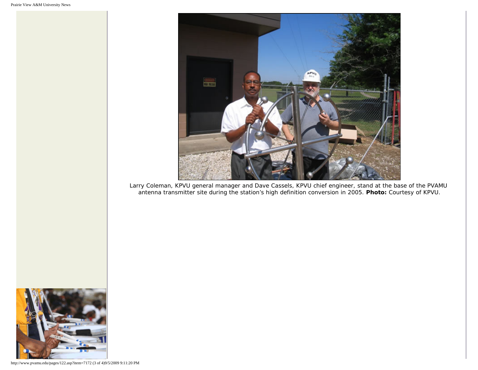

Larry Coleman, KPVU general manager and Dave Cassels, KPVU chief engineer, stand at the base of the PVAMU antenna transmitter site during the station's high definition conversion in 2005. **Photo:** Courtesy of KPVU.



http://www.pvamu.edu/pages/122.asp?item=7172 (3 of 4)9/5/2009 9:11:20 PM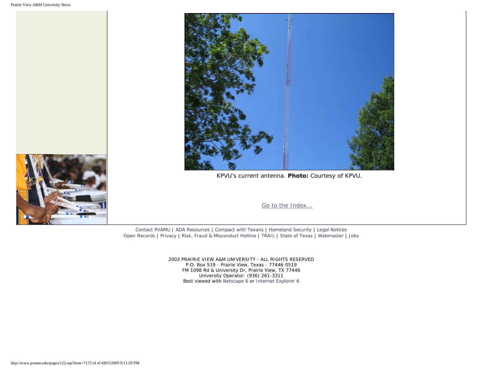



KPVU's current antenna. **Photo:** Courtesy of KPVU.

[Go to the Index...](http://www.pvamu.edu/pages/122.asp)

[Contact PVAMU](http://www.pvamu.edu/pages/2928.asp) | [ADA Resources](http://www.pvamu.edu/pages/4016.asp) | [Compact with Texans](http://www.pvamu.edu/pages/275.asp) | [Homeland Security](http://www.texashomelandsecurity.com/) | [Legal Notices](http://www.educause.edu/issues/dmca.html) [Open Records](http://www.pvamu.edu/pages/1058.asp) | [Privacy](http://www.pvamu.edu/pages/277.asp) | [Risk, Fraud & Misconduct Hotline](http://www.pvamu.edu/pages/5894.asp) | [TRAIL](http://www.tsl.state.tx.us/trail/index.html) | [State of Texas](http://www.state.tx.us/) | [Webmaster](mailto:webmaster@pvamu.edu) | [Jobs](http://www.pvamu.edu/jobs)

> 2003 PRAIRIE VIEW A&M UNIVERSITY - ALL RIGHTS RESERVED P.O. Box 519 - Prairie View, Texas - 77446-0519 FM 1098 Rd & University Dr, Prairie View, TX 77446 University Operator: (936) 261-3311 Best viewed with [Netscape 6](http://channels.netscape.com/ns/browsers/download.jsp) or [Internet Explorer 6](http://www.microsoft.com/downloads/details.aspx?FamilyID=1e1550cb-5e5d-48f5-b02b-20b602228de6&displaylang=en)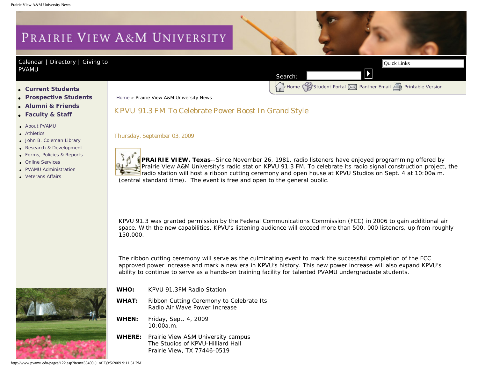# PRAIRIE VIEW A&M UNIVERSITY

#### [Calendar](http://www.pvamu.edu/pages/105.asp) | [Directory](http://www.pvamu.edu/pages/225.asp) | Giving to [PVAMU](http://www.pvamu.edu/giving)

Home [Student Portal](http://panthertracks.pvamu.edu/) [Panther Email](http://www.pvamu.edu/pages/1740.asp) [Printable Version](http://www.pvamu.edu/print/122.asp)

- ● **[Current Students](http://www.pvamu.edu/pages/106.asp)**
- ● **[Prospective Students](http://www.pvamu.edu/pages/113.asp)**
- ● **[Alumni & Friends](http://www.pvamu.edu/pages/103.asp)**
- ● **[Faculty & Staff](http://www.pvamu.edu/pages/107.asp)**
- [About PVAMU](http://www.pvamu.edu/pages/119.asp)
- [Athletics](http://www.pvamu.edu/pages/104.asp)
- [John B. Coleman Library](http://www.pvamu.edu/pages/3585.asp)
- [Research & Development](http://www.pvamu.edu/pages/108.asp) ● [Forms, Policies & Reports](http://www.pvamu.edu/pages/5302.asp)
- 
- [Online Services](http://www.pvamu.edu/pages/109.asp)
- [PVAMU Administration](http://www.pvamu.edu/pages/5303.asp)
- [Veterans Affairs](http://www.pvamu.edu/pages/4721.asp)

[Home](http://www.pvamu.edu/pages/1.asp) » Prairie View A&M University News

#### KPVU 91.3 FM To Celebrate Power Boost In Grand Style

Thursday, September 03, 2009

**PRAIRIE VIEW, Texas**--Since November 26, 1981, radio listeners have enjoyed programming offered by Prairie View A&M University's radio station KPVU 91.3 FM. To celebrate its radio signal construction project, the radio station will host a ribbon cutting ceremony and open house at KPVU Studios on Sept. 4 at 10:00a.m. (central standard time). The event is free and open to the general public. Correct Students<br>
A Constant Constant Correct Constant Correct Constant Correct Constant Correct Constant Correct Constant Correct Constant Correct Constant Correct Constant Correct Constant Correct Constant Correct Consta

Search:

KPVU 91.3 was granted permission by the Federal Communications Commission (FCC) in 2006 to gain additional air space. With the new capabilities, KPVU's listening audience will exceed more than 500, 000 listeners, up from roughly 150,000.

The ribbon cutting ceremony will serve as the culminating event to mark the successful completion of the FCC approved power increase and mark a new era in KPVU's history. This new power increase will also expand KPVU's ability to continue to serve as a hands-on training facility for talented PVAMU undergraduate students.

- 
- **WHO:** KPVU 91.3FM Radio Station
- **WHAT:** Ribbon Cutting Ceremony to Celebrate Its Radio Air Wave Power Increase
- **WHEN:** Friday, Sept. 4, 2009  $10:00a$  m.
- **WHERE:** Prairie View A&M University campus The Studios of KPVU-Hilliard Hall Prairie View, TX 77446-0519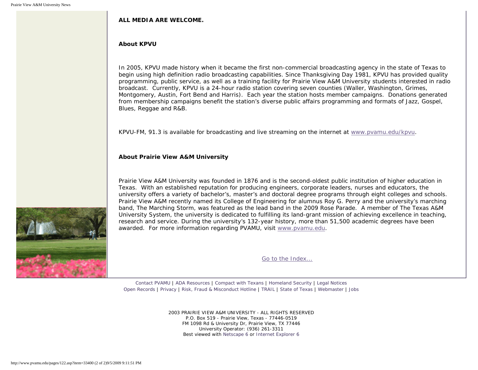#### **ALL MEDIA ARE WELCOME.**

#### **About KPVU**

In 2005, KPVU made history when it became the first non-commercial broadcasting agency in the state of Texas to begin using high definition radio broadcasting capabilities. Since Thanksgiving Day 1981, KPVU has provided quality programming, public service, as well as a training facility for Prairie View A&M University students interested in radio broadcast. Currently, KPVU is a 24-hour radio station covering seven counties (Waller, Washington, Grimes, Montgomery, Austin, Fort Bend and Harris). Each year the station hosts member campaigns. Donations generated from membership campaigns benefit the station's diverse public affairs programming and formats of Jazz, Gospel, Blues, Reggae and R&B.

KPVU-FM, 91.3 is available for broadcasting and live streaming on the internet at [www.pvamu.edu/kpvu](https://pvumail.pvamu.edu/exchweb/bin/redir.asp?URL=http://www.pvamu.edu/kpvu).

#### **About Prairie View A&M University**

Prairie View A&M University was founded in 1876 and is the second-oldest public institution of higher education in Texas. With an established reputation for producing engineers, corporate leaders, nurses and educators, the university offers a variety of bachelor's, master's and doctoral degree programs through eight colleges and schools. Prairie View A&M recently named its College of Engineering for alumnus Roy G. Perry and the university's marching band, The Marching Storm, was featured as the lead band in the 2009 Rose Parade. A member of The Texas A&M University System, the university is dedicated to fulfilling its land-grant mission of achieving excellence in teaching, research and service. During the university's 132-year history, more than 51,500 academic degrees have been awarded. For more information regarding PVAMU, visit [www.pvamu.edu.](https://pvumail.pvamu.edu/exchweb/bin/redir.asp?URL=http://www.pvamu.edu)

[Go to the Index...](http://www.pvamu.edu/pages/122.asp)

[Contact PVAMU](http://www.pvamu.edu/pages/2928.asp) | [ADA Resources](http://www.pvamu.edu/pages/4016.asp) | [Compact with Texans](http://www.pvamu.edu/pages/275.asp) | [Homeland Security](http://www.texashomelandsecurity.com/) | [Legal Notices](http://www.educause.edu/issues/dmca.html) [Open Records](http://www.pvamu.edu/pages/1058.asp) | [Privacy](http://www.pvamu.edu/pages/277.asp) | [Risk, Fraud & Misconduct Hotline](http://www.pvamu.edu/pages/5894.asp) | [TRAIL](http://www.tsl.state.tx.us/trail/index.html) | [State of Texas](http://www.state.tx.us/) | [Webmaster](mailto:webmaster@pvamu.edu) | [Jobs](http://www.pvamu.edu/jobs)

> 2003 PRAIRIE VIEW A&M UNIVERSITY - ALL RIGHTS RESERVED P.O. Box 519 - Prairie View, Texas - 77446-0519 FM 1098 Rd & University Dr, Prairie View, TX 77446 University Operator: (936) 261-3311 Best viewed with [Netscape 6](http://channels.netscape.com/ns/browsers/download.jsp) or [Internet Explorer 6](http://www.microsoft.com/downloads/details.aspx?FamilyID=1e1550cb-5e5d-48f5-b02b-20b602228de6&displaylang=en)

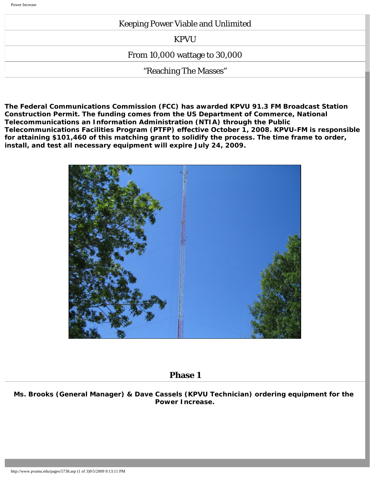#### Keeping Power Viable and Unlimited

KPVU

From 10,000 wattage to 30,000

"Reaching The Masses"

**The Federal Communications Commission (FCC) has awarded KPVU 91.3 FM Broadcast Station Construction Permit. The funding comes from the US Department of Commerce, National Telecommunications an Information Administration (NTIA) through the Public Telecommunications Facilities Program (PTFP) effective October 1, 2008. KPVU-FM is responsible for attaining \$101,460 of this matching grant to solidify the process. The time frame to order, install, and test all necessary equipment will expire July 24, 2009.**



#### **Phase 1**

**Ms. Brooks (General Manager) & Dave Cassels (KPVU Technician) ordering equipment for the Power Increase.**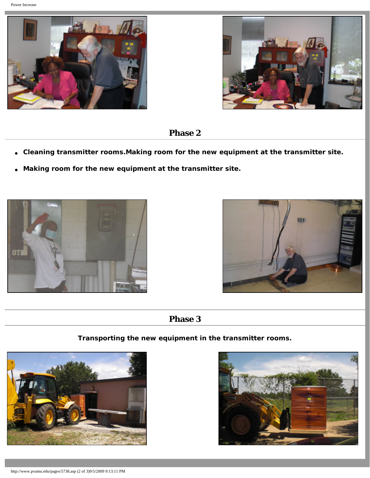



## **Phase 2**

- **Cleaning transmitter rooms.Making room for the new equipment at the transmitter site.**
- **Making room for the new equipment at the transmitter site.**





## **Phase 3**

**Transporting the new equipment in the transmitter rooms.**



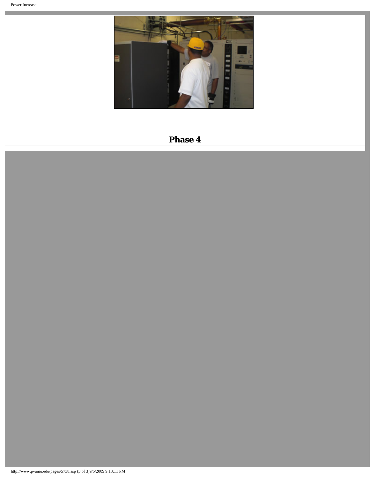e e



# **Phase 4**

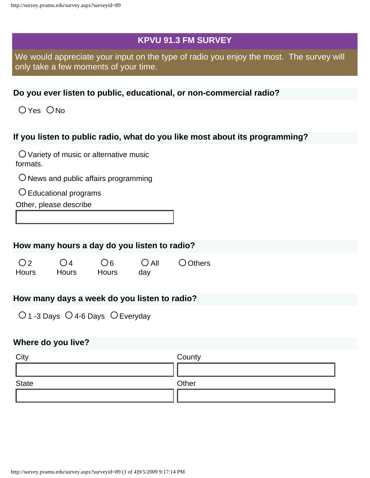## **KPVU 91.3 FM SURVEY**

We would appreciate your input on the type of radio you enjoy the most. The survey will only take a few moments of your time.

### **Do you ever listen to public, educational, or non-commercial radio?**

O Yes O No

## **If you listen to public radio, what do you like most about its programming?**

Variety of music or alternative music formats.

 $O$  News and public affairs programming

 $\bigcirc$  Educational programs

Other, please describe

#### **How many hours a day do you listen to radio?**

 $O<sub>2</sub>$ **Hours**  $O(4)$ **Hours**  $\bigcirc$  6 **Hours**  $O$  All day O Others

## **How many days a week do you listen to radio?**

 $O$  1 -3 Days  $O$  4-6 Days  $O$  Everyday

#### **Where do you live?**

| City         | County |
|--------------|--------|
|              |        |
| <b>State</b> | Other  |
|              |        |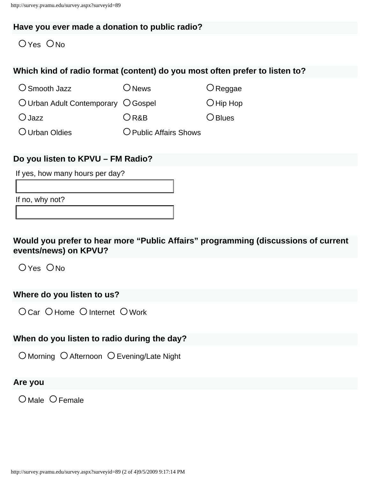#### **Have you ever made a donation to public radio?**

 $OYes$   $ONo$ 

## **Which kind of radio format (content) do you most often prefer to listen to?**

| $\bigcirc$ Smooth Jazz              | $\bigcirc$ News        | $O$ Reggae  |
|-------------------------------------|------------------------|-------------|
| O Urban Adult Contemporary O Gospel |                        | $O$ Hip Hop |
| $O$ Jazz                            | ORAB                   | $O$ Blues   |
| O Urban Oldies                      | O Public Affairs Shows |             |

#### **Do you listen to KPVU – FM Radio?**

If yes, how many hours per day?

If no, why not?

**Would you prefer to hear more "Public Affairs" programming (discussions of current events/news) on KPVU?**

 $O$  Yes  $O$  No

## **Where do you listen to us?**

O Car O Home O Internet O Work

## **When do you listen to radio during the day?**

O Morning O Afternoon O Evening/Late Night

## **Are you**

O Male O Female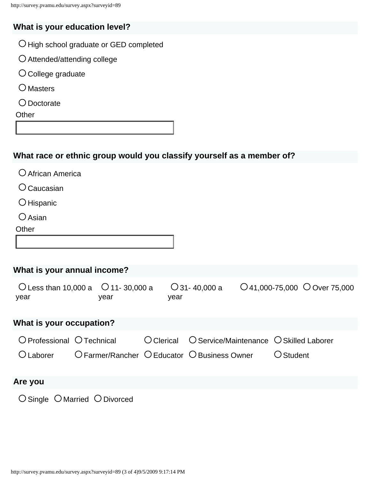# **What is your education level?**

- $O$  High school graduate or GED completed
- Attended/attending college
- $O$  College graduate
- $O$  Masters
- Doctorate

**Other** 

# **What race or ethnic group would you classify yourself as a member of?**

| O African America                                          |  |              |      |                                         |                                                                                     |  |                                   |  |
|------------------------------------------------------------|--|--------------|------|-----------------------------------------|-------------------------------------------------------------------------------------|--|-----------------------------------|--|
| $\bigcirc$ Caucasian                                       |  |              |      |                                         |                                                                                     |  |                                   |  |
| O Hispanic                                                 |  |              |      |                                         |                                                                                     |  |                                   |  |
| $\bigcirc$ Asian                                           |  |              |      |                                         |                                                                                     |  |                                   |  |
| Other                                                      |  |              |      |                                         |                                                                                     |  |                                   |  |
|                                                            |  |              |      |                                         |                                                                                     |  |                                   |  |
|                                                            |  |              |      |                                         |                                                                                     |  |                                   |  |
| What is your annual income?                                |  |              |      |                                         |                                                                                     |  |                                   |  |
| O Less than 10,000 a $\circ$ 0 11-30,000 a<br>year<br>year |  |              | year |                                         | $\bigcirc$ 31-40,000 a                                                              |  | $O$ 41,000-75,000 $O$ Over 75,000 |  |
| What is your occupation?                                   |  |              |      |                                         |                                                                                     |  |                                   |  |
| O Professional O Technical                                 |  | $O$ Clerical |      | O Service/Maintenance O Skilled Laborer |                                                                                     |  |                                   |  |
| $O$ Laborer                                                |  |              |      |                                         | $\overline{O}$ Farmer/Rancher $\overline{O}$ Educator $\overline{O}$ Business Owner |  | $\bigcirc$ Student                |  |
| Are you                                                    |  |              |      |                                         |                                                                                     |  |                                   |  |
| $\bigcirc$ Single $\bigcirc$ Married $\bigcirc$ Divorced   |  |              |      |                                         |                                                                                     |  |                                   |  |